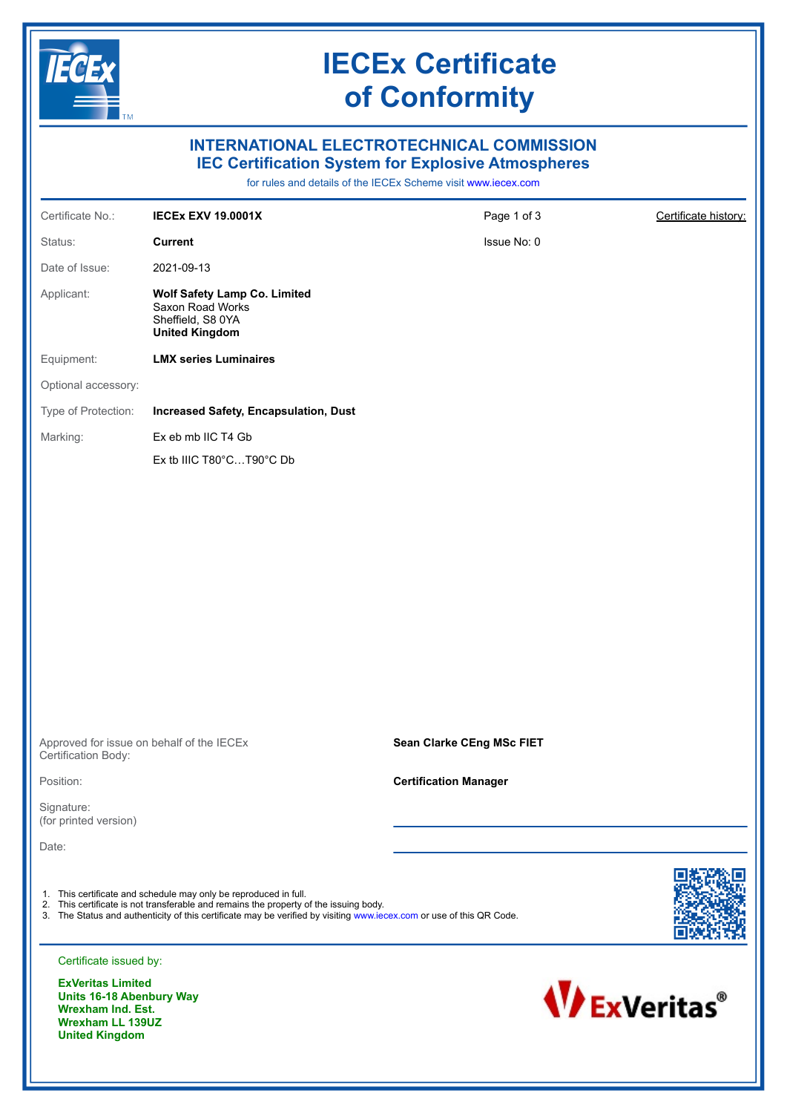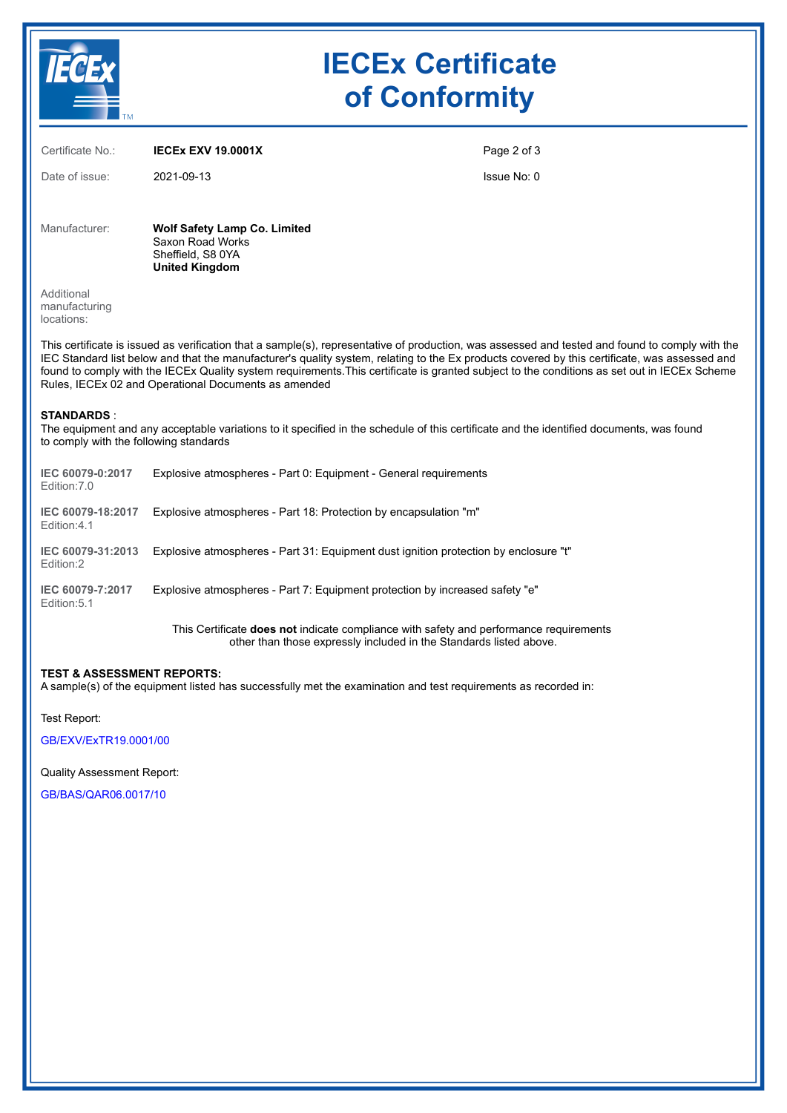

# **IECEx Certificate of Conformity**

| Certificate No.:                                                                                                                                                                                                                                                                                                                                                                                                                                                                                         | <b>IECEX EXV 19,0001X</b>                                                                             | Page 2 of 3 |  |  |  |  |  |
|----------------------------------------------------------------------------------------------------------------------------------------------------------------------------------------------------------------------------------------------------------------------------------------------------------------------------------------------------------------------------------------------------------------------------------------------------------------------------------------------------------|-------------------------------------------------------------------------------------------------------|-------------|--|--|--|--|--|
| Date of issue:                                                                                                                                                                                                                                                                                                                                                                                                                                                                                           | 2021-09-13                                                                                            | Issue No: 0 |  |  |  |  |  |
| Manufacturer:                                                                                                                                                                                                                                                                                                                                                                                                                                                                                            | <b>Wolf Safety Lamp Co. Limited</b><br>Saxon Road Works<br>Sheffield, S8 0YA<br><b>United Kingdom</b> |             |  |  |  |  |  |
| Additional<br>manufacturing<br>locations:                                                                                                                                                                                                                                                                                                                                                                                                                                                                |                                                                                                       |             |  |  |  |  |  |
| This certificate is issued as verification that a sample(s), representative of production, was assessed and tested and found to comply with the<br>IEC Standard list below and that the manufacturer's quality system, relating to the Ex products covered by this certificate, was assessed and<br>found to comply with the IECEx Quality system requirements. This certificate is granted subject to the conditions as set out in IECEx Scheme<br>Rules, IECEx 02 and Operational Documents as amended |                                                                                                       |             |  |  |  |  |  |
| <b>STANDARDS:</b><br>The equipment and any acceptable variations to it specified in the schedule of this certificate and the identified documents, was found<br>to comply with the following standards                                                                                                                                                                                                                                                                                                   |                                                                                                       |             |  |  |  |  |  |
| IEC 60079-0:2017<br>Edition: 7.0                                                                                                                                                                                                                                                                                                                                                                                                                                                                         | Explosive atmospheres - Part 0: Equipment - General requirements                                      |             |  |  |  |  |  |
| IEC 60079-18:2017<br>Edition: 4.1                                                                                                                                                                                                                                                                                                                                                                                                                                                                        | Explosive atmospheres - Part 18: Protection by encapsulation "m"                                      |             |  |  |  |  |  |
| IEC 60079-31:2013<br>Edition:2                                                                                                                                                                                                                                                                                                                                                                                                                                                                           | Explosive atmospheres - Part 31: Equipment dust ignition protection by enclosure "t"                  |             |  |  |  |  |  |
| IEC 60079-7:2017<br>Edition: 5.1                                                                                                                                                                                                                                                                                                                                                                                                                                                                         | Explosive atmospheres - Part 7: Equipment protection by increased safety "e"                          |             |  |  |  |  |  |

This Certificate **does not** indicate compliance with safety and performance requirements other than those expressly included in the Standards listed above.

### **TEST & ASSESSMENT REPORTS:**

A sample(s) of the equipment listed has successfully met the examination and test requirements as recorded in:

Test Report:

[GB/EXV/ExTR19.0001/00](https://www.iecex-certs.com/deliverables/REPORT/22487/view)

Quality Assessment Report:

[GB/BAS/QAR06.0017/10](https://www.iecex-certs.com/deliverables/REPORT/77343/view)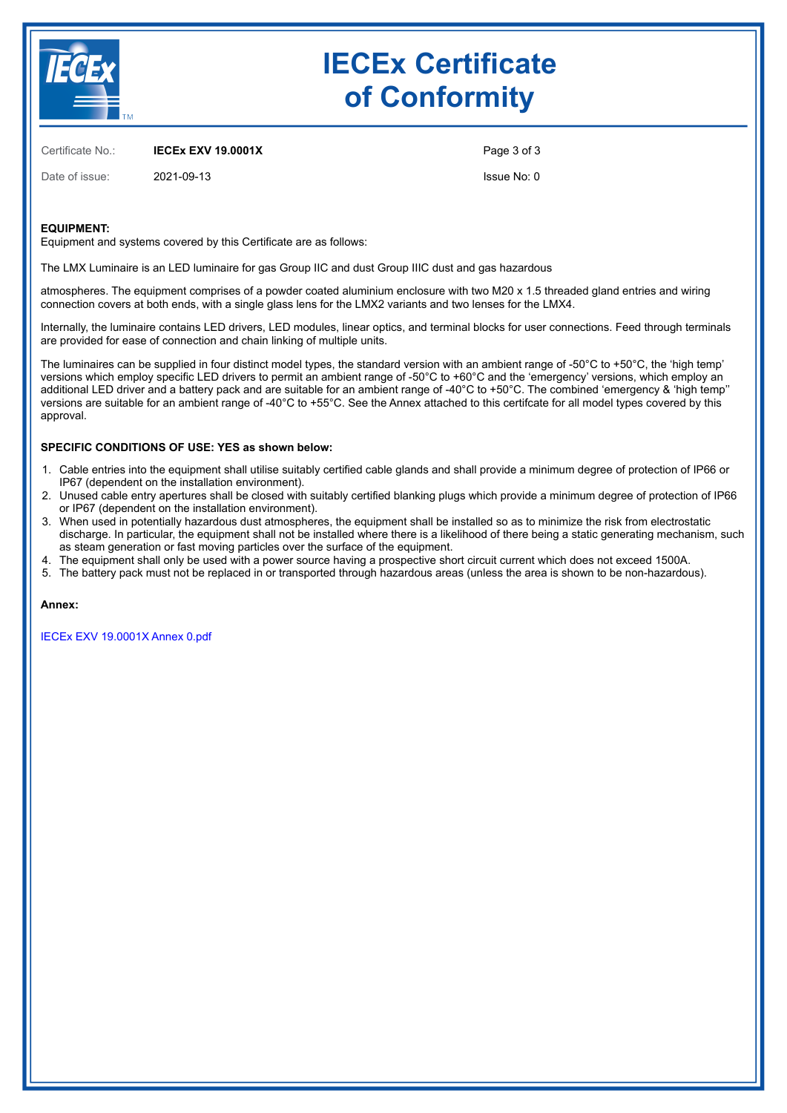

# **IECEx Certificate of Conformity**

Certificate No.: **IECEx EXV 19.0001X**

Date of issue: 2021-09-13

Page 3 of 3

Issue No: 0

### **EQUIPMENT:**

Equipment and systems covered by this Certificate are as follows:

The LMX Luminaire is an LED luminaire for gas Group IIC and dust Group IIIC dust and gas hazardous

atmospheres. The equipment comprises of a powder coated aluminium enclosure with two M20 x 1.5 threaded gland entries and wiring connection covers at both ends, with a single glass lens for the LMX2 variants and two lenses for the LMX4.

Internally, the luminaire contains LED drivers, LED modules, linear optics, and terminal blocks for user connections. Feed through terminals are provided for ease of connection and chain linking of multiple units.

The luminaires can be supplied in four distinct model types, the standard version with an ambient range of -50 $^{\circ}$ C to +50 $^{\circ}$ C, the 'high temp' versions which employ specific LED drivers to permit an ambient range of -50°C to +60°C and the 'emergency' versions, which employ an additional LED driver and a battery pack and are suitable for an ambient range of -40°C to +50°C. The combined 'emergency & 'high temp'' versions are suitable for an ambient range of -40°C to +55°C. See the Annex attached to this certifcate for all model types covered by this approval.

#### **SPECIFIC CONDITIONS OF USE: YES as shown below:**

- 1. Cable entries into the equipment shall utilise suitably certified cable glands and shall provide a minimum degree of protection of IP66 or IP67 (dependent on the installation environment).
- 2. Unused cable entry apertures shall be closed with suitably certified blanking plugs which provide a minimum degree of protection of IP66 or IP67 (dependent on the installation environment).
- 3. When used in potentially hazardous dust atmospheres, the equipment shall be installed so as to minimize the risk from electrostatic discharge. In particular, the equipment shall not be installed where there is a likelihood of there being a static generating mechanism, such as steam generation or fast moving particles over the surface of the equipment.
- 4. The equipment shall only be used with a power source having a prospective short circuit current which does not exceed 1500A.
- 5. The battery pack must not be replaced in or transported through hazardous areas (unless the area is shown to be non-hazardous).

**Annex:**

[IECEx EXV 19.0001X Annex 0.pdf](https://www.iecex-certs.com/deliverables/CERT/17825/view)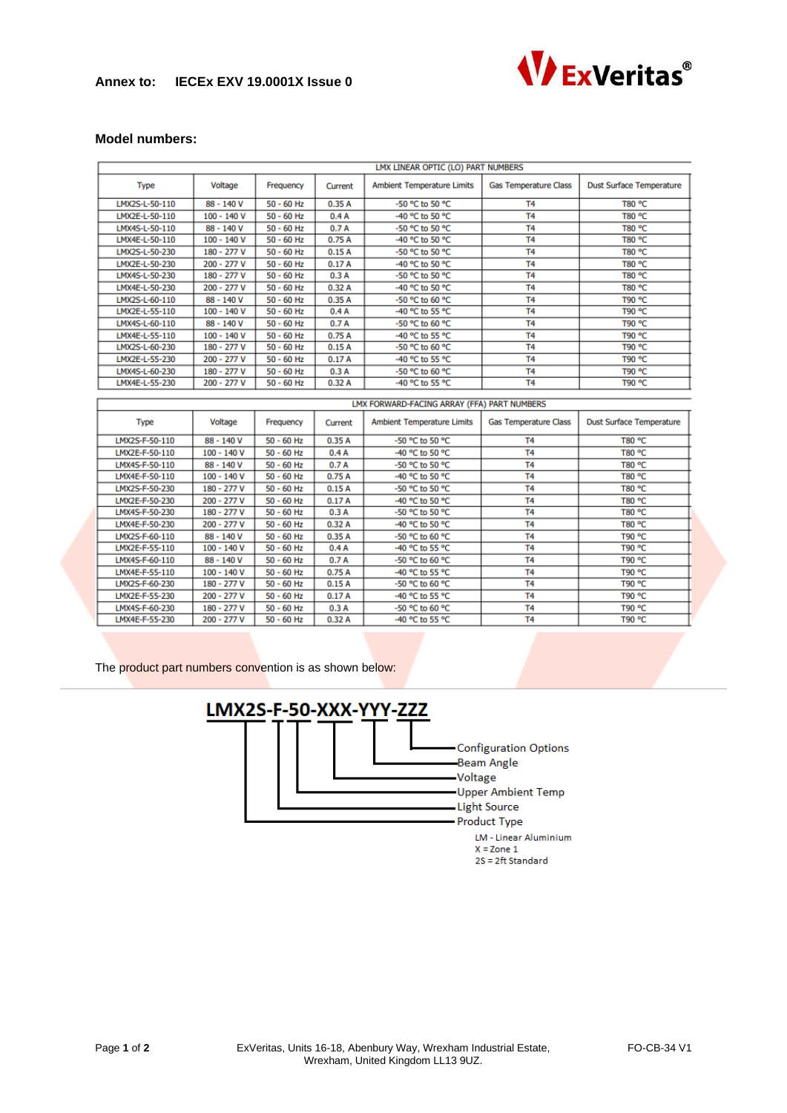# **Annex to: IECEx EXV 19.0001X Issue 0**



## **Model numbers:**

|                | LMX LINEAR OPTIC (LO) PART NUMBERS |              |         |                                             |                              |                                 |  |  |
|----------------|------------------------------------|--------------|---------|---------------------------------------------|------------------------------|---------------------------------|--|--|
| <b>Type</b>    | Voltage                            | Frequency    | Current | <b>Ambient Temperature Limits</b>           | <b>Gas Temperature Class</b> | <b>Dust Surface Temperature</b> |  |  |
| LMX2S-L-50-110 | 88 - 140 V                         | $50 - 60$ Hz | 0.35A   | -50 °C to 50 °C                             | <b>T4</b>                    | T80 °C                          |  |  |
| LMX2E-L-50-110 | $100 - 140V$                       | $50 - 60$ Hz | 0.4A    | -40 °C to 50 °C                             | T <sub>4</sub>               | T80 °C                          |  |  |
| LMX4S-L-50-110 | 88 - 140 V                         | $50 - 60$ Hz | 0.7A    | -50 °C to 50 °C                             | T <sub>4</sub>               | T80 °C                          |  |  |
| LMX4E-L-50-110 | $100 - 140V$                       | $50 - 60$ Hz | 0.75A   | -40 °C to 50 °C                             | T <sub>4</sub>               | T80 °C                          |  |  |
| LMX2S-L-50-230 | 180 - 277 V                        | $50 - 60$ Hz | 0.15A   | -50 °C to 50 °C                             | T <sub>4</sub>               | T80 °C                          |  |  |
| LMX2E-L-50-230 | 200 - 277 V                        | $50 - 60$ Hz | 0.17A   | -40 °C to 50 °C                             | T <sub>4</sub>               | T80 °C                          |  |  |
| LMX4S-L-50-230 | 180 - 277 V                        | $50 - 60$ Hz | 0.3A    | -50 °C to 50 °C                             | T <sub>4</sub>               | T80 °C                          |  |  |
| LMX4E-L-50-230 | $200 - 277V$                       | $50 - 60$ Hz | 0.32A   | -40 °C to 50 °C                             | T <sub>4</sub>               | T80 °C                          |  |  |
| LMX2S-L-60-110 | 88 - 140 V                         | $50 - 60$ Hz | 0.35A   | -50 °C to 60 °C                             | T <sub>4</sub>               | T90 °C                          |  |  |
| LMX2E-L-55-110 | $100 - 140V$                       | $50 - 60$ Hz | 0.4A    | -40 °C to 55 °C                             | T <sub>4</sub>               | T90 °C                          |  |  |
| LMX4S-L-60-110 | 88 - 140 V                         | $50 - 60$ Hz | 0.7A    | -50 °C to 60 °C                             | T <sub>4</sub>               | T90 °C                          |  |  |
| LMX4E-L-55-110 | 100 - 140 V                        | $50 - 60$ Hz | 0.75A   | -40 °C to 55 °C                             | T <sub>4</sub>               | T90 °C                          |  |  |
| LMX2S-L-60-230 | 180 - 277 V                        | $50 - 60$ Hz | 0.15A   | -50 °C to 60 °C                             | T <sub>4</sub>               | T90 °C                          |  |  |
| LMX2E-L-55-230 | 200 - 277 V                        | $50 - 60$ Hz | 0.17A   | -40 °C to 55 °C                             | T <sub>4</sub>               | T90 °C                          |  |  |
| LMX4S-L-60-230 | 180 - 277 V                        | $50 - 60$ Hz | 0.3A    | -50 °C to 60 °C                             | T <sub>4</sub>               | T90 °C                          |  |  |
| LMX4E-L-55-230 | 200 - 277 V                        | $50 - 60$ Hz | 0.32A   | -40 °C to 55 °C                             | T <sub>4</sub>               | T90 °C                          |  |  |
|                |                                    |              |         |                                             |                              |                                 |  |  |
|                |                                    |              |         | LMX FORWARD-FACING ARRAY (FFA) PART NUMBERS |                              |                                 |  |  |
| <b>Type</b>    | Voltage                            | Frequency    | Current | <b>Ambient Temperature Limits</b>           | <b>Gas Temperature Class</b> | <b>Dust Surface Temperature</b> |  |  |
|                |                                    |              |         |                                             |                              |                                 |  |  |
| LMX2S-F-50-110 | 88 - 140 V                         | $50 - 60$ Hz | 0.35A   | -50 °C to 50 °C                             | T <sub>4</sub>               | T80 °C                          |  |  |
| LMX2E-F-50-110 | $100 - 140V$                       | $50 - 60$ Hz | 0.4A    | -40 °C to 50 °C                             | T <sub>4</sub>               | T80 °C                          |  |  |
| LMX4S-F-50-110 | 88 - 140 V                         | $50 - 60$ Hz | 0.7A    | -50 °C to 50 °C                             | T <sub>4</sub>               | T80 °C                          |  |  |
| LMX4E-F-50-110 | $100 - 140V$                       | $50 - 60$ Hz | 0.75A   | -40 °C to 50 °C                             | T <sub>4</sub>               | T80 °C                          |  |  |
| LMX2S-F-50-230 | 180 - 277 V                        | $50 - 60$ Hz | 0.15A   | -50 °C to 50 °C                             | T <sub>4</sub>               | T80 °C                          |  |  |
| LMX2E-F-50-230 | 200 - 277 V                        | $50 - 60$ Hz | 0.17A   | -40 °C to 50 °C                             | T <sub>4</sub>               | T80 °C                          |  |  |
| LMX4S-F-50-230 | 180 - 277 V                        | $50 - 60$ Hz | 0.3A    | -50 °C to 50 °C                             | T <sub>4</sub>               | T80 °C                          |  |  |
| LMX4E-F-50-230 | 200 - 277 V                        | $50 - 60$ Hz | 0.32A   | -40 °C to 50 °C                             | T <sub>4</sub>               | T80 °C                          |  |  |
| LMX2S-F-60-110 | 88 - 140 V                         | $50 - 60$ Hz | 0.35A   | -50 °C to 60 °C                             | T <sub>4</sub>               | T90 °C                          |  |  |
| LMX2E-F-55-110 | $100 - 140V$                       | $50 - 60$ Hz | 0.4A    | -40 °C to 55 °C                             | T <sub>4</sub>               | T90 °C                          |  |  |
| LMX4S-F-60-110 | 88 - 140 V                         | $50 - 60$ Hz | 0.7A    | -50 °C to 60 °C                             | T <sub>4</sub>               | T90 °C                          |  |  |
| LMX4E-F-55-110 | 100 - 140 V                        | $50 - 60$ Hz | 0.75A   | -40 °C to 55 °C                             | T <sub>4</sub>               | T90 °C                          |  |  |
| LMX2S-F-60-230 | 180 - 277 V                        | $50 - 60$ Hz | 0.15A   | -50 °C to 60 °C                             | T <sub>4</sub>               | T90 °C                          |  |  |
| LMX2E-F-55-230 | 200 - 277 V                        | $50 - 60$ Hz | 0.17A   | -40 °C to 55 °C                             | T <sub>4</sub>               | T90 °C                          |  |  |
| LMX4S-F-60-230 | 180 - 277 V                        | $50 - 60$ Hz | 0.3A    | -50 °C to 60 °C                             | T <sub>4</sub>               | T90 °C                          |  |  |

The product part numbers convention is as shown below: